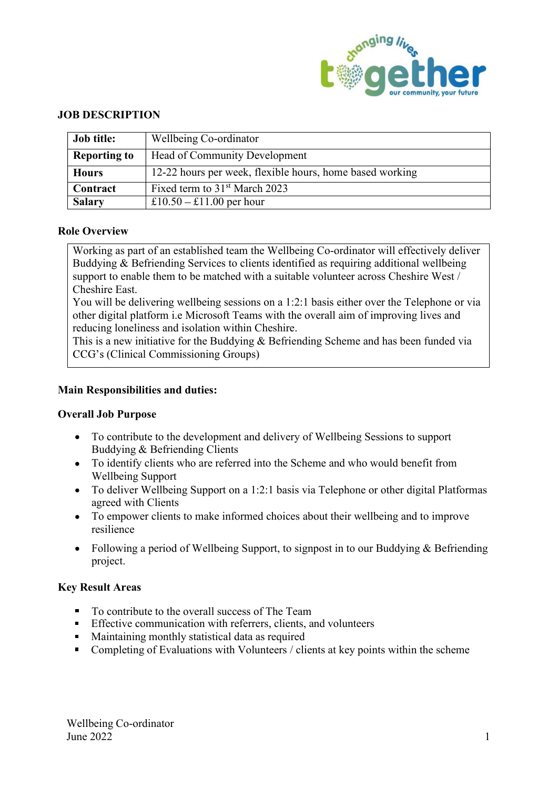

## JOB DESCRIPTION

| <b>Job title:</b>   | Wellbeing Co-ordinator                                   |
|---------------------|----------------------------------------------------------|
| <b>Reporting to</b> | Head of Community Development                            |
| <b>Hours</b>        | 12-22 hours per week, flexible hours, home based working |
| Contract            | Fixed term to 31 <sup>st</sup> March 2023                |
| <b>Salary</b>       | £10.50 – £11.00 per hour                                 |

## Role Overview

**From the EXECUTE CONDUCT CONSUMBER 12-22 hours per week, restricted four and the state of the State Contract Fixed term to 31<sup>st</sup> March 2023<br>
<b>Salary E10.50 – £11.00** per hour<br> **Role Overview**<br>
Working as part of an es Working as part of an established team the Wellbeing Co-ordinator will effectively deliver Buddying & Befriending Services to clients identified as requiring additional wellbeing support to enable them to be matched with a suitable volunteer across Cheshire West / Cheshire East.

You will be delivering wellbeing sessions on a 1:2:1 basis either over the Telephone or via other digital platform i.e Microsoft Teams with the overall aim of improving lives and reducing loneliness and isolation within Cheshire.

This is a new initiative for the Buddying & Befriending Scheme and has been funded via CCG's (Clinical Commissioning Groups)

### Main Responsibilities and duties:

- To contribute to the development and delivery of Wellbeing Sessions to support Buddying & Befriending Clients
- To identify clients who are referred into the Scheme and who would benefit from Wellbeing Support
- To deliver Wellbeing Support on a 1:2:1 basis via Telephone or other digital Platformas agreed with Clients
- To empower clients to make informed choices about their wellbeing and to improve resilience
- Following a period of Wellbeing Support, to signpost in to our Buddying & Befriending project.

### Key Result Areas

- To contribute to the overall success of The Team
- **Effective communication with referrers, clients, and volunteers**
- **Maintaining monthly statistical data as required**
- Completing of Evaluations with Volunteers / clients at key points within the scheme